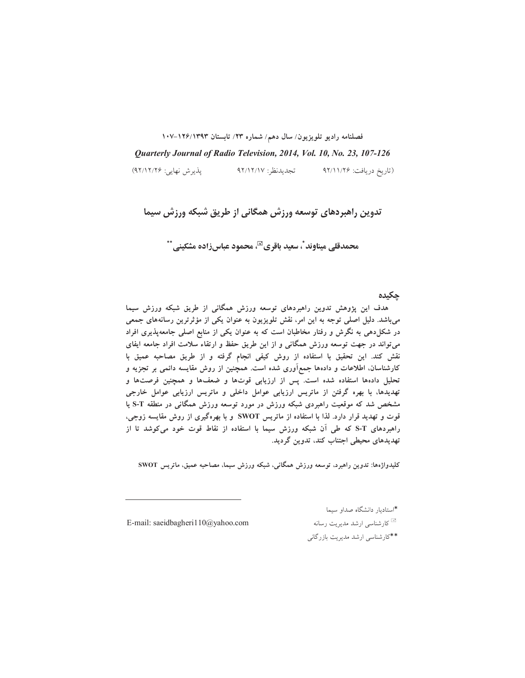فصلنامه راديو تلويزيون/ سال دهم/ شماره ٢٣/ تابستان ١٢٩٣/١٣٩٣-١٠٧

Quarterly Journal of Radio Television, 2014, Vol. 10, No. 23, 107-126

يذيرش نهايي: ۹۲/۱۲/۲۶) تجديدنظر: ٩٢/١٢/١٧ (تاريخ دريافت: ۹۲/۱۱/۲۶

تدوین راهبردهای توسعه ورزش همگانی از طریق شبکه ورزش سیما

محمدقلي ميناوند ٌ، سعيد باقري™، محمود عباسزاده مشكيني ٌ ٌ

جكيده

هدف این پژوهش تدوین راهبردهای توسعه ورزش همگانی از طریق شبکه ورزش سیما میباشد. دلیل اصلی توجه به این امر، نقش تلویزیون به عنوان یکی از مؤثرترین رسانههای جمعی در شکل(دهی به نگرش و رفتار مخاطبان است که به عنوان یکی از منابع اصلی جامعهپذیری افراد می تواند در جهت توسعه ورزش همگانی و از این طریق حفظ و ارتقاء سلامت افراد جامعه ایفای نقش كند. اين تحقيق با استفاده از روش كيفى انجام گرفته و از طريق مصاحبه عميق با کارشناسان، اطلاعات و دادهها جمع[وری شده است. همچنین از روش مقایسه دائمی بر تجزیه و تحلیل دادهها استفاده شده است. پس از ارزیابی قوتها و ضعفها و همچنین فرصتها و تهدیدها، با بهره گرفتن از ماتریس ارزیابی عوامل داخلی و ماتریس ارزیابی عوامل خارجی مشخص شد که موقعیت راهبردی شبکه ورزش در مورد توسعه ورزش همگانی در منطقه S-T یا قوت و تهدید قرار دارد. لذا با استفاده از ماتریس SWOT و با بهرهگیری از روش مقایسه زوجی، راهبردهای S-T که طی آن شبکه ورزش سیما با استفاده از نقاط قوت خود می کوشد تا از تھدیدھای محیطی اجتناب کند، تدوین گردید.

كليدواژهها: تدوين راهبرد، توسعه ورزش همگاني، شبكه ورزش سيما، مصاحبه عميق، ماتريس SWOT

E-mail: saeidbagheri110@yahoo.com

\*استادبار دانشگاه صداو سبما <sup>یں</sup> کارشناسی ارشد مدیریت رسانه

\*\*کارشناسی ارشد مدیریت بازرگانی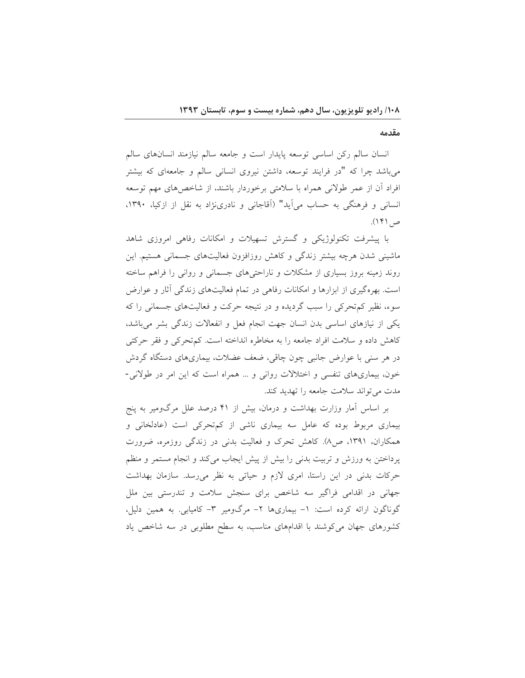مقدمه

انسان سالم رکن اساسی توسعه پایدار است و جامعه سالم نیازمند انسانهای سالم می باشد چرا که "در فرایند توسعه، داشتن نیروی انسانی سالم و جامعهای که بیشتر افراد آن از عمر طولانی همراه با سلامتی برخوردار باشند، از شاخص های مهم توسعه انسانی و فرهنگی به حساب می آید" (آقاجانی و نادری;ژاد به نقل از ازکیا، ۱۳۹۰، ص ۱۴۱).

با پیشرفت تکنولوژیکی و گسترش تسهیلات و امکانات رفاهی امروزی شاهد ماشینی شدن هرچه بیشتر زندگی و کاهش روزافزون فعالیتهای جسمانی هستیم. این روند زمینه بروز بسیاری از مشکلات و ناراحتیهای جسمانی و روانی را فراهم ساخته است. بهرهگیری از ابزارها و امکانات رفاهی در تمام فعالیتهای زندگی آثار و عوارض سوءِ، نظير کم تحرکي را سبب گرديده و در نتيجه حرکت و فعاليتهاي جسماني را که یکی از نیازهای اساسی بدن انسان جهت انجام فعل و انفعالات زندگی بشر میباشد، كاهش داده و سلامت افراد جامعه را به مخاطره انداخته است. كم تحركي و فقر حركتي در هر سنی با عوارض جانبی چون چاقی، ضعف عضلات، بیماریهای دستگاه گردش خون، بیماریهای تنفسی و اختلالات روانی و ... همراه است که این امر در طولانی-مدت می تواند سلامت جامعه را تهدید کند.

بر اساس آمار وزارت بهداشت و درمان، بیش از ۴۱ درصد علل مرگومیر به پنج بیماری مربوط بوده که عامل سه بیماری ناشی از کمتحرکی است (عادلخانی و همکاران، ۱۳۹۱، ص۸). کاهش تحرک و فعالیت بدنی در زندگی روزمره، ضرورت پرداختن به ورزش و تربیت بدنی را بیش از پیش ایجاب میکند و انجام مستمر و منظم حرکات بدنی در این راستا، امری لازم و حیاتی به نظر می رسد. سازمان بهداشت جهانی در اقدامی فراگیر سه شاخص برای سنجش سلامت و تندرستی بین ملل گوناگون ارائه کرده است: ١- بیماریها ٢- مرگومیر ٣- کامیابی. به همین دلیل، کشورهای جهان می کوشند با اقدامهای مناسب، به سطح مطلوبی در سه شاخص یاد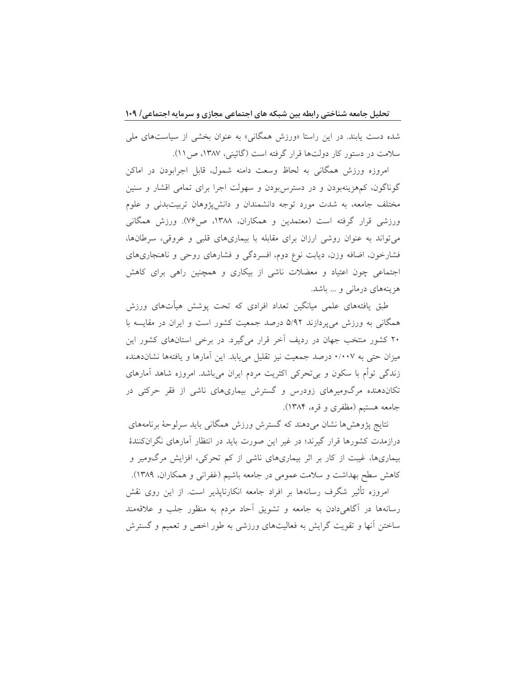شده دست پابند. در این راستا «ورزش همگانی» به عنوان بخشی از سیاستهای ملی سلامت در دستور کار دولتها قرار گرفته است (گائینی، ۱۳۸۷، ص۱۱).

امروزه ورزش همگانی به لحاظ وسعت دامنه شمول، قابل اجرابودن در اماکن گوناگون، کمهزینهبودن و در دسترس بودن و سهولت اجرا برای تمامی اقشار و سنین مختلف جامعه، به شدت مورد توجه دانشمندان و دانشپژوهان تربیتبدنی و علوم ورزشی قرار گرفته است (معتمدین و همکاران، ۱۳۸۸، ص۷۶). ورزش همگانی می تواند به عنوان روشی ارزان برای مقابله با بیماریهای قلبی و عروقی، سرطانها، فشارخون، اضافه وزن، دیابت نوع دوم، افسردگی و فشارهای روحی و ناهنجاریهای اجتماعی چون اعتیاد و معضلات ناشی از بیکاری و همچنین راهی برای کاهش هزینههای درمانی و … باشد.

طبق یافتههای علمی میانگین تعداد افرادی که تحت پوشش هیأتهای ورزش همگانی به ورزش می پردازند ۵/۹۲ درصد جمعیت کشور است و ایران در مقایسه با ۲۰ کشور منتخب جهان در ردیف آخر قرار میگیرد. در برخی استانهای کشور این میزان حتی به ۰/۰۰۷ درصد جمعیت نیز تقلیل می یابد. این آمارها و یافتهها نشاندهنده زندگی توأم با سکون و بیتحرکی اکثریت مردم ایران میباشد. امروزه شاهد آمارهای تکاندهنده مرگومیرهای زودرس و گسترش بیماریهای ناشی از فقر حرکتی در جامعه هستیم (مظفری و قره، ۱۳۸۴).

نتايج پژوهش ها نشان مىدهند كه گسترش ورزش همگانى بايد سرلوحهٔ برنامههاى درازمدت کشورها قرار گیرند؛ در غیر این صورت باید در انتظار آمارهای نگرانکنندهٔ بیماریها، غیبت از کار بر اثر بیماریهای ناشی از کم تحرکی، افزایش مرگومیر و کاهش سطح بهداشت و سلامت عمومی در جامعه باشیم (غفرانی و همکاران، ۱۳۸۹).

امروزه تأثیر شگرف رسانهها بر افراد جامعه انکارناپذیر است. از این روی نقش رسانهها در آگاهیٖدادن به جامعه و تشویق آحاد مردم به منظور جلب و علاقهمند ساختن أنها و تقویت گرایش به فعالیتهای ورزشی به طور اخص و تعمیم و گسترش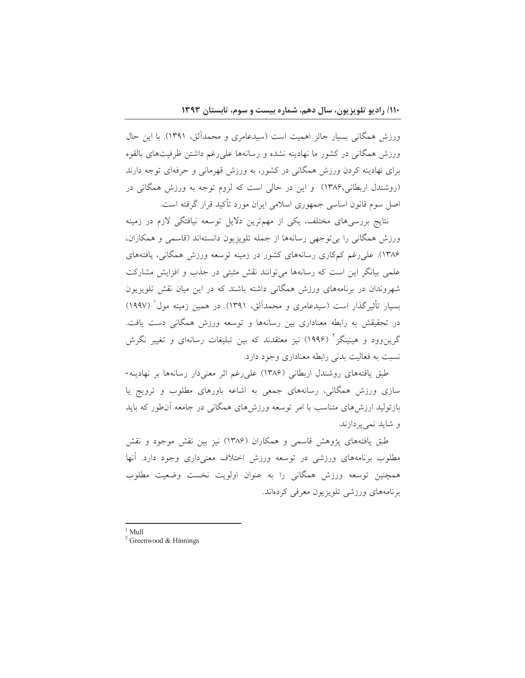ورزش همگانی بسیار حائز اهمیت است (سیدعامری و محمدآلق، ۱۳۹۱). با این حال ورزش همگانی در کشور ما نهادینه نشده و رسانهها علی رغم داشتن ظرفیتهای بالقوه برای نهادینه کردن ورزش همگانی در کشور، به ورزش قهرمانی و حرفهای توجه دارند (روشندل اربطانی،۱۳۸۶) و این در حالی است که لزوم توجه به ورزش همگانی در اصل سوم قانون اساسی جمهوری اسلامی ایران مورد تأکید قرار گرفته است.

نتايج بررسي هاي مختلف، يكي از مهمترين دلايل توسعه نيافتگي لازم در زمينه ورزش همگانی را بی توجهی رسانهها از جمله تلویزیون دانستهاند (قاسمی و همکاران، ۱۳۸۶). علی رغم کمکاری رسانههای کشور در زمینه توسعه ورزش همگانی، یافتههای علمی بیانگر این است که رسانهها میتوانند نقش مثبتی در جذب و افزایش مشارکت شهروندان در برنامههای ورزش همگانی داشته باشند که در این میان نقش تلویزیون بسیار تأثیرگذار است (سیدعامری و محمدآلق، ۱۳۹۱). در همین زمینه مول (۱۹۹۷) در تحقیقش به رابطه معناداری بین رسانهها و توسعه ورزش همگانی دست یافت. گرین٫وود و هینینگز ٔ (۱۹۹۶) نیز معتقدند که بین تبلیغات رسانهای و تغییر نگرش نسبت به فعالیت بدنی رابطه معناداری وجود دارد.

طبق یافتههای روشندل اربطانی (۱۳۸۶) علی(غم اثر معنیدار رسانهها بر نهادینه-سازی ورزش همگانی، رسانههای جمعی به اشاعه باورهای مطلوب و ترویج یا بازتولید ارزش های متناسب با امر توسعه ورزش های همگانی در جامعه آن طور که باید و شايد نمي پردازند.

طبق یافتههای پژوهش قاسمی و همکاران (۱۳۸۶) نیز بین نقش موجود و نقش مطلوب برنامههای ورزشی در توسعه ورزش اختلاف معنیداری وجود دارد. آنها همچنین توسعه ورزش همگانی را به عنوان اولویت نخست وضعیت مطلوب برنامههای ورزشی تلویزیون معرفی کردهاند.

 $1$  Mull

 $2$  Greenwood & Hinnings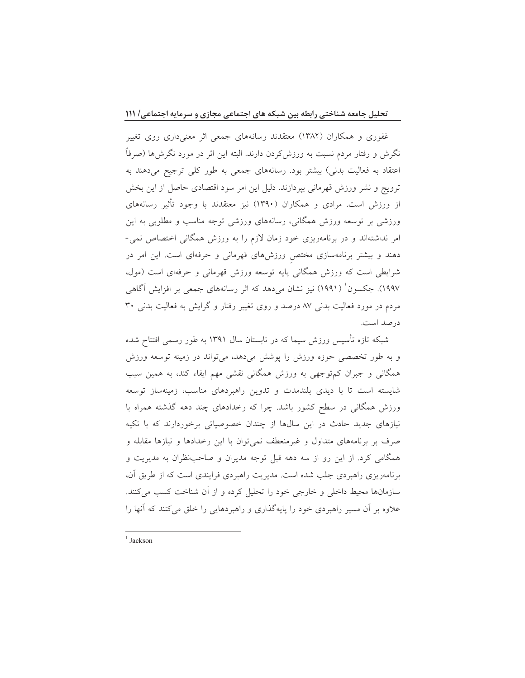غفوری و همکاران (۱۳۸۲) معتقدند رسانههای جمعی اثر معنیداری روی تغییر نگرش و رفتار مردم نسبت به ورزش2ردن دارند. البته این اثر در مورد نگرشها (صرفاً اعتقاد به فعالیت بدنی) بیشتر بود. رسانههای جمعی به طور کلی ترجیح میدهند به ترویج و نشر ورزش قهرمانی بپردازند. دلیل این امر سود اقتصادی حاصل از این بخش از ورزش است. مرادی و همکاران (۱۳۹۰) نیز معتقدند با وجود تأثیر رسانههای ورزشی بر توسعه ورزش همگانی، رسانههای ورزشی توجه مناسب و مطلوبی به این امر نداشتهاند و در برنامهریزی خود زمان لازم را به ورزش همگانی اختصاص نمی-دهند و بیشتر برنامهسازی مختص ورزشهای قهرمانی و حرفهای است. این امر در شرایطی است که ورزش همگانی پایه توسعه ورزش قهرمانی و حرفهای است (مول، ۱۹۹۷). جکسون` (۱۹۹۱) نیز نشان میٖدهد که اثر رسانههای جمعی بر افزایش آگاهی مردم در مورد فعالیت بدنی ۸۷ درصد و روی تغییر رفتار و گرایش به فعالیت بدنی ۳۰ در صد است.

شبکه تازه تأسیس ورزش سیما که در تابستان سال ۱۳۹۱ به طور رسمی افتتاح شده و به طور تخصصی حوزه ورزش را پوشش میدهد، میتواند در زمینه توسعه ورزش همگانی و جبران کم توجهی به ورزش همگانی نقشی مهم ایفاء کند، به همین سبب شایسته است تا با دیدی بلندمدت و تدوین راهبردهای مناسب، زمینهساز توسعه ورزش همگانی در سطح کشور باشد. چرا که رخدادهای چند دهه گذشته همراه با نیازهای جدید حادث در این سالها از چندان خصوصیاتی برخوردارند که با تکیه صرف بر برنامههای متداول و غیرمنعطف نمیٍتوان با این رخدادها و نیازها مقابله و همگامی کرد. از این رو از سه دهه قبل توجه مدیران و صاحبنظران به مدیریت و برنامهریزی راهبردی جلب شده است. مدیریت راهبردی فرایندی است که از طریق آن، سازمانها محیط داخلی و خارجی خود را تحلیل کرده و از آن شناخت کسب میکنند. علاوه بر آن مسیر راهبردی خود را پایهگذاری و راهبردهایی را خلق می کنند که آنها را

<sup>1</sup> Jackson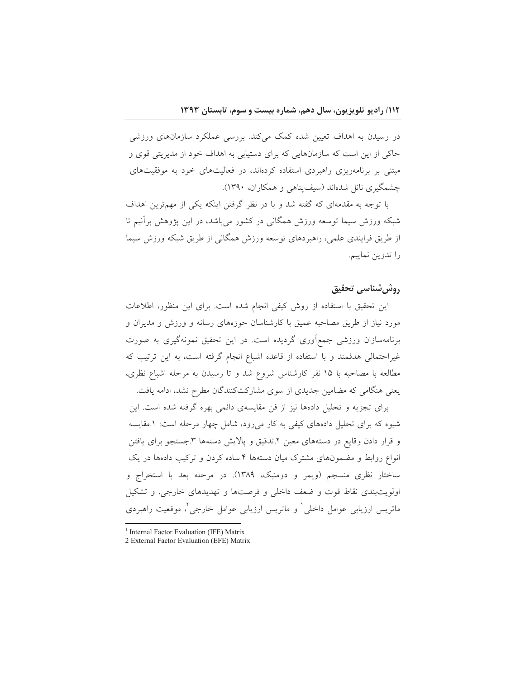در رسیدن به اهداف تعیین شده کمک میکند. بررسی عملکرد سازمانهای ورزشی حاکی از این است که سازمانهایی که برای دستیابی به اهداف خود از مدیریتی قوی و مبتنی بر برنامهریزی راهبردی استفاده کردهاند، در فعالیتهای خود به موفقیتهای چشمگیری نائل شدهاند (سیف پناهی و همکاران، ۱۳۹۰).

با توجه به مقدمهای که گفته شد و با در نظر گرفتن اینکه یکی از مهمترین اهداف شبکه ورزش سیما توسعه ورزش همگانی در کشور میباشد، در این پژوهش برأنیم تا از طريق فرايندي علمي، راهبردهاي توسعه ورزش همگاني از طريق شبكه ورزش سيما را تدوين نماييم.

# روش شناسي تحقيق

این تحقیق با استفاده از روش کیفی انجام شده است. برای این منظور، اطلاعات .<br>مورد نیاز از طریق مصاحبه عمیق با کارشناسان حوزههای رسانه و ورزش و مدیران و برنامهسازان ورزشی جمع آوری گردیده است. در این تحقیق نمونهگیری به صورت غیراحتمالی هدفمند و با استفاده از قاعده اشباع انجام گرفته است، به این ترتیب که مطالعه با مصاحبه با ۱۵ نفر کارشناس شروع شد و تا رسیدن به مرحله اشباع نظری، یعنی هنگامی که مضامین جدیدی از سوی مشارکتکنندگان مطرح نشد، ادامه یافت.

برای تجزیه و تحلیل دادهها نیز از فن مقایسهی دائمی بهره گرفته شده است. این شیوه که برای تحلیل دادههای کیفی به کار میرود، شامل چهار مرحله است: ۱.مقایسه و قرار دادن وقایع در دستههای معین ٢.تدقیق و پالایش دستهها ٣.جستجو برای یافتن انواع روابط و مضمونهای مشترک میان دستهها ۴.ساده کردن و ترکیب دادهها در یک ساختار نظری منسجم (ویمر و دومنیک، ۱۳۸۹). در مرحله بعد با استخراج و اولويتبندي نقاط قوت و ضعف داخلي و فرصتها و تهديدهاي خارجي، و تشكيل ماتریس ارزیابی عوامل داخلی ٔ و ماتریس ارزیابی عوامل خارجی ٌ، موقعیت راهبردی

<sup>&</sup>lt;sup>1</sup> Internal Factor Evaluation (IFE) Matrix

<sup>2</sup> External Factor Evaluation (EFE) Matrix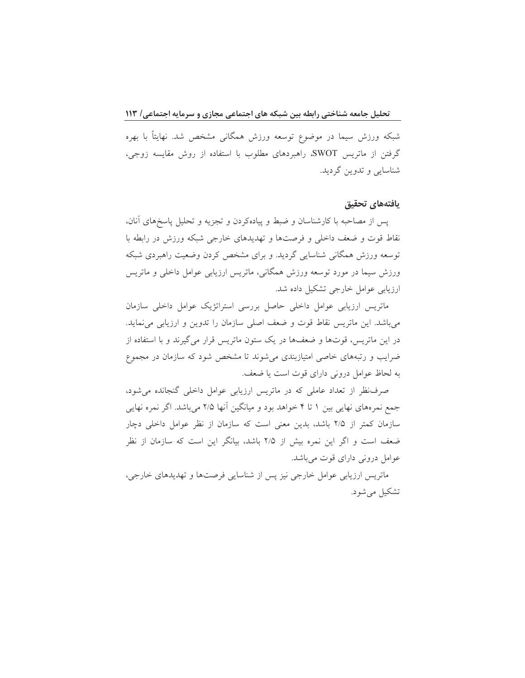شبکه ورزش سیما در موضوع توسعه ورزش همگانی مشخص شد. نهایتاً با بهره گرفتن از ماتریس SWOT، راهبردهای مطلوب با استفاده از روش مقایسه زوجی، شناسايي وتدوين گرديد.

### يافتههاى تحقيق

يس از مصاحبه با كارشناسان و ضبط و پيادهكردن و تجزيه و تحليل پاسخهاي آنان، نقاط قوت و ضعف داخلی و فرصتها و تهدیدهای خارجی شبکه ورزش در رابطه با توسعه ورزش همگانی شناسایی گردید. و برای مشخص کردن وضعیت راهبردی شبکه ورزش سیما در مورد توسعه ورزش همگانی، ماتریس ارزیابی عوامل داخلی و ماتریس ارزیابی عوامل خارجی تشکیل داده شد.

ماتریس ارزیابی عوامل داخلی حاصل بررسی استراتژیک عوامل داخلی سازمان می باشد. این ماتریس نقاط قوت و ضعف اصلی سازمان را تدوین و ارزیابی می نماید. در این ماتریس، قوتها و ضعفها در یک ستون ماتریس قرار می گیرند و با استفاده از ضرایب و رتبههای خاصی امتیازبندی میشوند تا مشخص شود که سازمان در مجموع به لحاظ عوامل درونی دارای قوت است یا ضعف.

صرف نظر از تعداد عاملی که در ماتریس ارزیابی عوامل داخلی گنجانده می شود، جمع نمرههای نهایی بین ۱ تا ۴ خواهد بود و میانگین آنها ۲/۵ میباشد. اگر نمره نهایی سازمان کمتر از ۲/۵ باشد، بدین معنی است که سازمان از نظر عوامل داخلی دچار ضعف است و اگر این نمره بیش از ۲/۵ باشد، بیانگر این است که سازمان از نظر عوامل درونی دارای قوت میباشد.

ماتریس ارزیابی عوامل خارجی نیز پس از شناسایی فرصتها و تهدیدهای خارجی، تشکيل مي شود.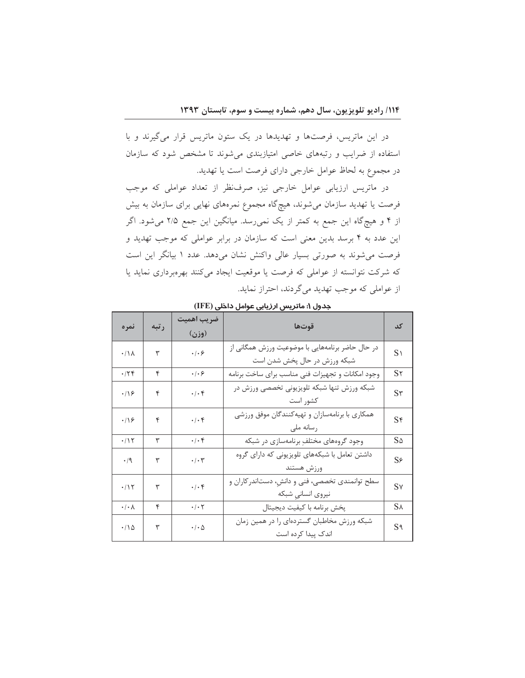در این ماتریس، فرصتها و تهدیدها در یک ستون ماتریس قرار میگیرند و با استفاده از ضرایب و رتبههای خاصی امتیازبندی میشوند تا مشخص شود که سازمان در مجموع به لحاظ عوامل خارجی دارای فرصت است یا تهدید.

در ماتریس ارزیابی عوامل خارجی نیز، صرف نظر از تعداد عواملی که موجب فرصت یا تهدید سازمان میشوند، هیچگاه مجموع نمرههای نهایی برای سازمان به بیش از ۴ و هیچگاه این جمع به کمتر از یک نمی رسد. میانگین این جمع ۲/۵ می شود. اگر این عدد به ۴ برسد بدین معنی است که سازمان در برابر عواملی که موجب تهدید و فرصت می شوند به صورتی بسیار عالی واکنش نشان میدهد. عدد ۱ بیانگر این است که شرکت نتوانسته از عواملی که فرصت یا موقعیت ایجاد میکنند بهرهبرداری نماید یا از عواملی که موجب تهدید میگردند، احتراز نماید.

| نمره                            | رتبه | ضريب اهميت<br>(وزن)                                                 | قوتها                                                                            | کد                |
|---------------------------------|------|---------------------------------------------------------------------|----------------------------------------------------------------------------------|-------------------|
| $\cdot/\Lambda$                 | ٣    | $\cdot$ / $\cdot$ $\varphi$                                         | در حال حاضر برنامههایی با موضوعیت ورزش همگانی از<br>شبکه ورزش در حال پخش شدن است | $S_1$             |
| .75                             | ۴    | $\cdot$ / $\cdot$ $\varphi$                                         | وجود امكانات و تجهيزات فني مناسب براي ساخت برنامه                                | S <sub>Y</sub>    |
| $\cdot$ /18                     | ۴    | $\boldsymbol{\cdot}\,/\boldsymbol{\cdot}\, \mathbf{f}$              | شبکه ورزش تنها شبکه تلویزیونی تخصصی ورزش در<br>كشور است                          | S <sub>r</sub>    |
| $\cdot$ /16                     | ۴    | $\boldsymbol{\cdot}\, \boldsymbol{\cdot}\, \boldsymbol{\mathsf{f}}$ | همکاری با برنامهسازان و تهیهکنندگان موفق ورزشی<br>رسانه ملى                      | Sf                |
| $\cdot/\Upsilon$                | ٣    | $\cdot/\cdot$ ۴                                                     | وجود گروههای مختلفِ برنامهسازی در شبکه                                           | $S\Delta$         |
| $\cdot$ /9                      | ٣    | $\boldsymbol{\cdot}\,/\boldsymbol{\cdot}\, \boldsymbol{\uparrow}$   | داشتن تعامل با شبکههای تلویزیونی که دارای گروه<br>ورزش هستند                     | $S_{\mathcal{F}}$ |
| $\cdot/\Upsilon$                | ٣    | $\boldsymbol{\cdot}\, \boldsymbol{\cdot}\, \boldsymbol{\mathsf{f}}$ | سطح توانمندی تخصصی، فنی و دانش، دستاندر کاران و<br>نيروى انساني شبكه             | Sv                |
| $\cdot/\cdot \wedge$            | ۴    | $\cdot/\cdot$ $\mathsf{Y}$                                          | پخش برنامه با كيفيت ديجيتال                                                      | $S_A$             |
| $\cdot$ / $\backslash$ $\Delta$ | ٣    | $\pmb{\cdot}/\pmb{\cdot}$ $\upDelta$                                | شبکه ورزش مخاطبان گستردهای را در همین زمان<br>اندک پیدا کرده است                 | $S_1$             |

جدول ۱: ماتریس ا*ر*زیابی عوامل داخلی (IFE)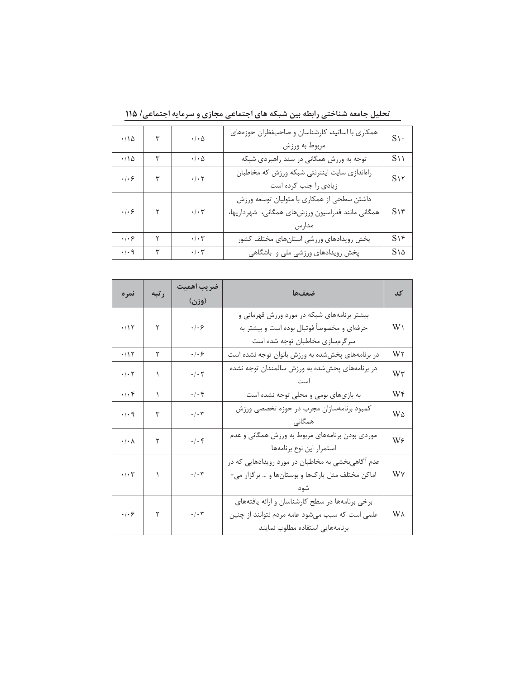| $\cdot/\Delta$              | ٣            | $\cdot$ / $\cdot$ $\Delta$ | همکاری با اساتید، کارشناسان و صاحبنظران حوزههای<br>مربوط به ورزش                                        | $S\$               |
|-----------------------------|--------------|----------------------------|---------------------------------------------------------------------------------------------------------|--------------------|
| $\cdot/\Delta$              | ٣            | $\cdot$ / $\cdot$ $\Delta$ | توجه به ورزش همگانی در سند راهبردی شبکه                                                                 | $S\cup$            |
| $\cdot$ / $\cdot$ $\varphi$ | ٣            | $\cdot/\cdot$ $\mathsf{Y}$ | راهاندازي سايت اينترنتي شبكه ورزش كه مخاطبان<br>زیادی را جلب کرده است                                   | S <sub>1</sub>     |
| $\cdot$ / $\cdot$ $\varphi$ | $\mathsf{r}$ | $\cdot/\cdot$ $\mathsf{y}$ | داشتن سطحي از همكاري با متوليان توسعه ورزش<br>همگانی مانند فدراسیون ورزشهای همگانی، شهرداریها،<br>مدارس | S <sub>1</sub>     |
| $\cdot$ / $\cdot$ $\varphi$ | ٢            | $\cdot/\cdot$ $\mathsf{r}$ | پخش رويدادهاي ورزشي استانهاي مختلف كشور                                                                 | SY                 |
| $\cdot$ / $\cdot$ 9         | ٣            | $\cdot/\cdot$ ٣            | پخش رویدادهای ورزشی ملی و باشگاهی                                                                       | $S\setminus\Delta$ |

تحلیل جامعه شناختی رابطه بین شبکه های اجتماعی مجازی و سرمایه اجتماعی/ ۱۱۵

| نمره                                                            | رتبه | ضريب اهميت                                                         | ضعفها                                             |    |
|-----------------------------------------------------------------|------|--------------------------------------------------------------------|---------------------------------------------------|----|
|                                                                 |      | (وزن)                                                              |                                                   | کد |
|                                                                 |      |                                                                    | بیشتر برنامههای شبکه در مورد ورزش قهرمانی و       |    |
| $\cdot/\mathop{\backslash}\mathop{\backslash}$                  | ٢    | $\cdot$ / $\cdot$ $\varphi$                                        | حرفهای و مخصوصاً فوتبال بوده است و بیشتر به       | W١ |
|                                                                 |      |                                                                    | سرگرمسازی مخاطبان توجه شده است                    |    |
| $\cdot/\mathcal{N}$                                             | ٢    | $\cdot$ / $\cdot$ 6                                                | در برنامههای پخششده به ورزش بانوان توجه نشده است  | W٢ |
| $\cdot/\cdot$ ٢                                                 |      | $\boldsymbol{\cdot}\,/\boldsymbol{\cdot}\, \boldsymbol{\curlyvee}$ | در برنامههای پخششده به ورزش سالمندان توجه نشده    | W٣ |
|                                                                 |      |                                                                    |                                                   |    |
| $\cdot$ / $\cdot$ $\uparrow$                                    | ١    | $\cdot/\cdot$ ۴                                                    | به بازیهای بومی و محلی توجه نشده است              | W۴ |
| $\cdot$ / $\cdot$ 9                                             |      | $\cdot$ / $\cdot$ $\mathsf{r}$<br>٣                                | كمبود برنامهسازان مجرب در حوزه تخصصي ورزش         | W۵ |
|                                                                 |      |                                                                    | همگانی                                            |    |
| $\boldsymbol{\cdot}\,/\boldsymbol{\cdot}$ $\boldsymbol{\wedge}$ | ٢    | $\boldsymbol{\cdot}\,/\boldsymbol{\cdot}\, \mathbf{f}$             | موردی بودن برنامههای مربوط به ورزش همگانی و عدم   | W۶ |
|                                                                 |      |                                                                    | استمرار اين نوع برنامهها                          |    |
|                                                                 |      |                                                                    | عدم آگاهیبخشی به مخاطبان در مورد رویدادهایی که در |    |
| $\cdot$ / $\cdot$ $\uparrow$                                    | ١    | $\boldsymbol{\cdot}\, \boldsymbol{\cdot}\, \mathbf{y}$             | اماکن مختلف مثل پارکها و بوستانها و … برگزار می-  | W٧ |
|                                                                 |      |                                                                    |                                                   |    |
|                                                                 |      |                                                                    | برخی برنامهها در سطح کارشناسان و ارائه یافتههای   |    |
| $\cdot$ / $\cdot$ $\varphi$                                     | ٢    | $\boldsymbol{\cdot}\,/\boldsymbol{\cdot}\, \boldsymbol{\upgamma}$  | علمی است که سبب میشود عامه مردم نتوانند از چنین   | W٨ |
|                                                                 |      |                                                                    | برنامههايى استفاده مطلوب نمايند                   |    |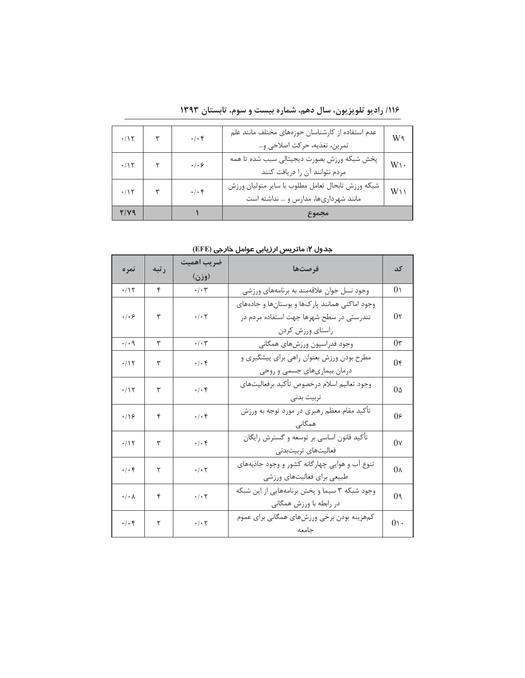| $\cdot/15$     | $\cdot/\cdot$ ۴         | عدم استفاده از کارشناسان حوزههای مختلف مانند علم<br>تمرين، تغذيه، حركت اصلاحي و           | W٩             |
|----------------|-------------------------|-------------------------------------------------------------------------------------------|----------------|
| $\cdot/\gamma$ | . 1.9                   | پخش شبکه ورزش بصورت ديجيتالي سبب شده تا همه<br>مردم نتوانند آن را دریافت کنند             | $W\mathcal{V}$ |
| $\cdot/15$     | $\cdot$ / $\cdot$ $\in$ | شبكه ورزش تابحال تعامل مطلوب با ساير متوليان ورزش<br>مانند شهرداریها، مدارس و  نداشته است | $W\cup$        |
| 71V9           |                         | مجموع                                                                                     |                |

۱۱۶/ رادیو تلویزیون، سال دهم، شماره بیست و سوم، تابستان ۱۳۹۳

جدول ۲: ماتریس ارزیابی عوامل خارجی (EFE)

| نمره                                                                | رتبه | ضريب اهميت<br>(وزن)                                                                            | فرصتها                                                                                                         | کد                  |
|---------------------------------------------------------------------|------|------------------------------------------------------------------------------------------------|----------------------------------------------------------------------------------------------------------------|---------------------|
| $\cdot/15$                                                          | ۴    | $\cdot/\cdot$ $\mathsf{y}$                                                                     | وجود نسل جوان علاقهمند به برنامههای ورزشی                                                                      | 0 <sub>1</sub>      |
| $\cdot$ / $\cdot$ 6                                                 | ٣    | $\boldsymbol{\cdot}\,/\boldsymbol{\cdot}\, \boldsymbol{\Upsilon}$                              | وجود اماكنى همانند پاركها و بوستانها و جادههاى<br>تندرستی در سطح شهرها جهت استفاده مردم در<br>راستاي ورزش كردن | 0 <sub>5</sub>      |
| $\cdot$ / $\cdot$ 9                                                 | ٣    | $\cdot/\cdot7$                                                                                 | وجود فدراسيون ورزشهاى همگاني                                                                                   | $0\tau$             |
| $\cdot/15$                                                          | ٣    | $\boldsymbol{\cdot}\hspace{0.1em}/\hspace{0.1em}\boldsymbol{\cdot}\hspace{0.1em}$<br><br><br>† | مطرح بودن ورزش بعنوان راهي براي پيشگيري و<br>درمان بیماریهای جسمی و روحی                                       | $0\epsilon$         |
| $\cdot$ /1٢                                                         | ٣    | $\cdot/\cdot$ ۴                                                                                | وجود تعاليم اسلام درخصوص تأكيد برفعاليتهاى<br>تربيت بدنى                                                       | $0\triangle$        |
| $\cdot$ /۱۶                                                         | ۴    | $\boldsymbol{\cdot}\,/\boldsymbol{\cdot}\, \mathbf{f}$                                         | تأكيد مقام معظم رهبري در مورد توجه به ورزش<br>همگانی                                                           | 0۶                  |
| .715                                                                | ٣    | $\cdot/\cdot$ ۴                                                                                | تأكيد قانون اساسي بر توسعه و گسترش رايگان<br>فعالیتهای تربیتبدنی                                               | $0\gamma$           |
| $\cdot$ / $\cdot$ F                                                 | ٢    | $\cdot$ / $\cdot$ $\cdot$                                                                      | تنوع آب و هوایی چهارگانه کشور و وجود جاذبههای<br>طبیعی برای فعالیتهای ورزشی                                    | 0 <sub>Y</sub>      |
| $\cdot/\cdot \wedge$                                                | ۴    | $\boldsymbol{\cdot}\,/\boldsymbol{\cdot}\, \boldsymbol{\curlyvee}$                             | وجود شبکه ۳ سیما و پخش برنامههایی از این شبکه<br>در رابطه با ورزش همگانی                                       | 0 <sup>9</sup>      |
| $\boldsymbol{\cdot}\, \boldsymbol{\cdot}\, \boldsymbol{\mathsf{f}}$ | ٢    | $\boldsymbol{\cdot}\,/\boldsymbol{\cdot}\, \boldsymbol{\Upsilon}$                              | كمهزينه بودن برخي ورزشهاي همگاني براي عموم<br>جامعه                                                            | $0 \setminus \cdot$ |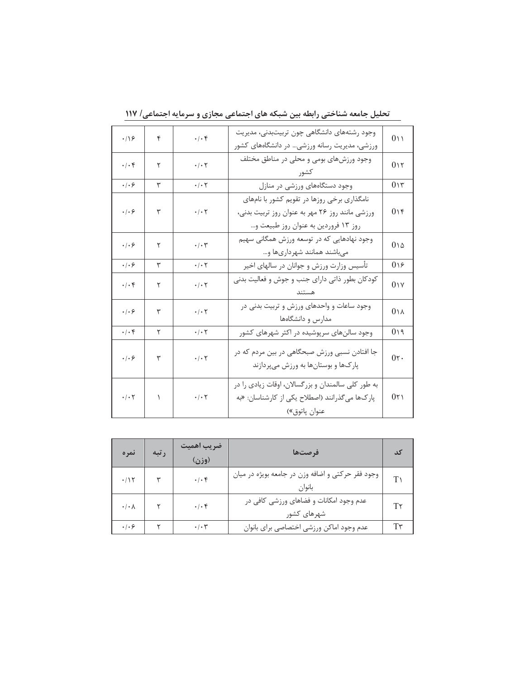| .19                                                                | ۴ | $\cdot$ / $\cdot$ $\in$                                            | وجود رشتههای دانشگاهی چون تربیتبدنی، مدیریت<br>ورزشی، مدیریت رسانه ورزشی در دانشگاههای کشور                                           | 011                 |
|--------------------------------------------------------------------|---|--------------------------------------------------------------------|---------------------------------------------------------------------------------------------------------------------------------------|---------------------|
| $\cdot/\cdot$ ۴                                                    | ٢ | $\cdot$ / $\cdot$ $\uparrow$                                       | وجود ورزشهای بومی و محلی در مناطق مختلف<br>كشو,                                                                                       | 015                 |
| $\cdot$ / $\cdot$ 6                                                | ٣ | $\cdot$ / $\cdot$ $\cdot$                                          | وجود دستگاههای ورزشی در منازل                                                                                                         | 015                 |
| $\cdot$ / $\cdot$ $\varphi$                                        | ٣ | $\cdot/\cdot$ $\mathsf{Y}$                                         | نامگذاری برخی روزها در تقویم کشور با نامهای<br>ورزشی مانند روز ٢۶ مهر به عنوان روز تربیت بدنی،<br>روز ١٣ فروردين به عنوان روز طبيعت و | 016                 |
| $\cdot$ / $\cdot$ $\varphi$                                        | ٢ | $\boldsymbol{\cdot}\,/\boldsymbol{\cdot}\, \boldsymbol{\uparrow}$  | وجود نهادهایی که در توسعه ورزش همگانی سهیم<br>میباشند همانند شهرداریها و                                                              | $0\vee\vartriangle$ |
| $\cdot$ / $\cdot$ $\varphi$                                        | ٣ | $\cdot$ / $\cdot$ $\uparrow$                                       | تأسیس وزارت ورزش و جوانان در سالهای اخیر                                                                                              | 019                 |
| $\cdot/\cdot$ ۴                                                    | ٢ | $\cdot$ / $\cdot$ $\uparrow$                                       | کودکان بطور ذاتی دارای جنب و جوش و فعالیت بدنی                                                                                        | 0 <sub>1</sub>      |
| $\cdot$ / $\cdot$ $\varphi$                                        | ٣ | $\cdot/\cdot$ $\mathbf{r}$                                         | وجود ساعات و واحدهای ورزش و تربیت بدنی در<br>مدارس و دانشگاهها                                                                        | 0 <sub>1</sub>      |
| $\cdot/\cdot$ ۴                                                    | ٢ | $\boldsymbol{\cdot}\, \boldsymbol{\cdot}\, \boldsymbol{\curlyvee}$ | وجود سالنهای سرپوشیده در اکثر شهرهای کشور                                                                                             | 019                 |
| .  .9                                                              | ٣ | $\cdot$ / $\cdot$ $\uparrow$                                       | جا افتادن نسبی ورزش صبحگاهی در بین مردم که در<br>پارکها و بوستانها به ورزش میپردازند                                                  | 0 <sub>1</sub>      |
| $\boldsymbol{\cdot}\,/\boldsymbol{\cdot}$ $\boldsymbol{\curlyvee}$ | ١ | $\boldsymbol{\cdot}\,/\boldsymbol{\cdot}\, \boldsymbol{\Upsilon}$  | به طور کلی سالمندان و بزرگسالان، اوقات زیادی را در<br>پارکها می گذرانند (اصطلاح یکی از کارشناسان: «به<br>عنوان پاتوق»)                | 0 <sub>1</sub>      |

تحلیل جامعه شناختی رابطه بین شبکه های اجتماعی مجازی و سرمایه اجتماعی/ ۱۱۷

| نمره                 | رتبه | ضريب اهميت<br>(وزن)          | فرصتها                                                      |                |
|----------------------|------|------------------------------|-------------------------------------------------------------|----------------|
| $\cdot$ /1٢          |      | $\cdot/\cdot$ ۴              | وجود فقر حركتي و اضافه وزن در جامعه بويژه در ميان<br>بانوان | T <sub>1</sub> |
| $\cdot/\cdot \wedge$ |      | $\cdot$ / $\cdot$ $\epsilon$ | عدم وجود امکانات و فضاهای ورزشی کافی در<br>شهرهای کشور      | Т۲             |
| .   . 9              |      | $\cdot$ / $\cdot$ $\tau$     | عدم وجود اماكن ورزشي اختصاصي براي بانوان                    | $T\tau$        |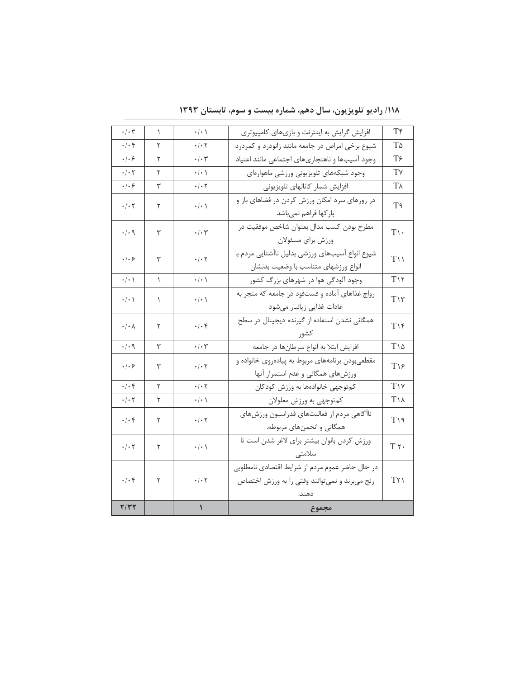| $\boldsymbol{\cdot}\hspace{0.1em}/\hspace{0.1em}\boldsymbol{\cdot}\hspace{0.1em}\boldsymbol{\top}$ | ١         | $\cdot/\cdot$                                                     | افزایش گرایش به اینترنت و بازیهای کامپیوتری                                                       | T۴                 |
|----------------------------------------------------------------------------------------------------|-----------|-------------------------------------------------------------------|---------------------------------------------------------------------------------------------------|--------------------|
| $\cdot/\cdot$ ۴                                                                                    | ٢         | $\cdot$ / $\cdot$ $\cdot$                                         | شیوع برخی امراض در جامعه مانند زانودرد و کمردرد                                                   | T۵                 |
| $\cdot$ / $\cdot$ 6                                                                                | ٢         | $\cdot/\cdot$ ۳                                                   | وجود آسيبها و ناهنجاريهاي اجتماعي مانند اعتياد                                                    | $T\epsilon$        |
| $\boldsymbol{\cdot}\,/\boldsymbol{\cdot}\, \boldsymbol{\Upsilon}$                                  | ٢         | $\cdot/\cdot$ \                                                   | وجود شبكههاى تلويزيوني ورزشى ماهوارهاى                                                            | T٧                 |
| $\cdot$ / $\cdot$ $\varphi$                                                                        | ٣         | $\boldsymbol{\cdot}\,/\boldsymbol{\cdot}\, \boldsymbol{\Upsilon}$ | افزایش شمار کانالهای تلویزیونی                                                                    | T٨                 |
| $\boldsymbol{\cdot}\,/\boldsymbol{\cdot}\, \boldsymbol{\curlyvee}$                                 | ٢         | $\cdot / \cdot \setminus$                                         | در روزهای سرد امکان ورزش کردن در فضاهای باز و<br>پاركها فراهم نمىباشد                             | T٩                 |
| $\cdot$ / $\cdot$ 9                                                                                | ٣         | $\cdot$ / $\cdot$ $\tau$                                          | مطرح بودن كسب مدال بعنوان شاخص موفقيت در<br>ورزش براي مسئولان                                     | $T\cdot$           |
| $\cdot$ / $\cdot$ $\varphi$                                                                        | ٣         | $\cdot/\cdot$ $\mathsf{y}$                                        | شيوع انواع آسيبهاي ورزشي بدليل ناآشنايي مردم با<br>انواع ورزشهاى متناسب با وضعيت بدنشان           | $T\cup$            |
| $\cdot/\cdot$ \                                                                                    | $\lambda$ | $\cdot/\cdot$                                                     | وجود آلودگی هوا در شهرهای بزرگ کشور                                                               | $T\setminus Y$     |
| $\pmb{\cdot}/\pmb{\cdot}$ \                                                                        | ١         | $\pmb{\cdot}/\pmb{\cdot}$ \                                       | رواج غذاهای آماده و فستفود در جامعه که منجر به<br>عادات غذایی زیانبار میشود                       | $T\mathcal{N}$     |
| $\cdot/\cdot \wedge$                                                                               | ٢         | $\cdot/\cdot$ ۴                                                   | همگانی نشدن استفاده از گیرنده دیجیتال در سطح<br>كشور                                              | $T\setminus f$     |
| .4.9                                                                                               | ٣         | $\cdot$ / $\cdot$ $\uparrow$                                      | افزایش ابتلا به انواع سرطانها در جامعه                                                            | $T\setminus\Delta$ |
| $\cdot$ / $\cdot$ $\circ$                                                                          | ٣         | $\cdot/\cdot$ $\mathsf{Y}$                                        | مقطعیبودن برنامههای مربوط به پیادهروی خانواده و<br>ورزشهای همگانی و عدم استمرار آنها              | $T\setminus f$     |
| $\cdot/\cdot$ ۴                                                                                    | ٢         | $\boldsymbol{\cdot}\, \boldsymbol{\cdot}\, \boldsymbol{\uparrow}$ | کم توجهي خانوادهها به ورزش کودکان                                                                 | $T\vee$            |
| $\cdot$ / $\cdot$ $\cdot$                                                                          | ٢         | $\cdot$ / $\cdot$ \                                               | كمتوجهي به ورزش معلولان                                                                           | <b>TIA</b>         |
| $\cdot/\cdot$ ۴                                                                                    | ٢         | $\cdot$ / $\cdot$ $\cdot$                                         | ناآگاهی مردم از فعالیتهای فدراسیون ورزشهای<br>همگانی و انجمنهای مربوطه.                           | $T\setminus q$     |
| $\boldsymbol{\cdot}\,/\boldsymbol{\cdot}\, \boldsymbol{\curlyvee}$                                 | ٢         | $\cdot/\cdot$ \                                                   | ورزش كردن بانوان بيشتر براي لاغر شدن است تا<br>سلامتي                                             | $T \gamma$ .       |
| $\boldsymbol{\cdot}\, \boldsymbol{\cdot}\, \boldsymbol{\mathsf{f}}$                                | ٢         | $\boldsymbol{\cdot}\,/\boldsymbol{\cdot}\, \boldsymbol{\Upsilon}$ | در حال حاضر عموم مردم از شرايط اقتصادي نامطلوبي<br>رنج میبرند و نمی توانند وقتی را به ورزش اختصاص | Tr <sub>1</sub>    |
| Y/YY                                                                                               |           | $\pmb{\mathcal{N}}$                                               | مجموع                                                                                             |                    |

/۱۱۸ رادیو تلویزیون، سال دهم، شماره بیست و سوم، تابستان ۱۳۹۳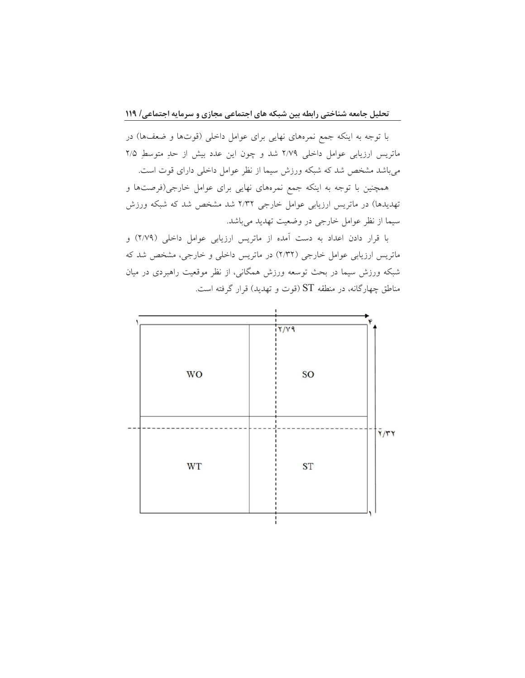با توجه به اینکه جمع نمرههای نهایی برای عوامل داخلی (قوتها و ضعفها) در ماتریس ارزیابی عوامل داخلی ٢/٧٩ شد و چون این عدد بیش از حدِ متوسطِ ٢/٥ میباشد مشخص شد که شبکه ورزش سیما از نظر عوامل داخلی دارای قوت است.

همچنین با توجه به اینکه جمع نمرههای نهایی برای عوامل خارجی(فرصتها و تهدیدها) در ماتریس ارزیابی عوامل خارجی ۲/۳۲ شد مشخص شد که شبکه ورزش سيما از نظر عوامل خارجي در وضعيت تهديد مي باشد.

با قرار دادن اعداد به دست آمده از ماتریس ارزیابی عوامل داخلی (۲/۷۹) و ماتریس ارزیابی عوامل خارجی (۲/۳۲) در ماتریس داخلی و خارجی، مشخص شد که شبکه ورزش سیما در بحث توسعه ورزش همگانی، از نظر موقعیت راهبردی در میان مناطق چهارگانه، در منطقه ST (قوت و تهدید) قرار گرفته است.

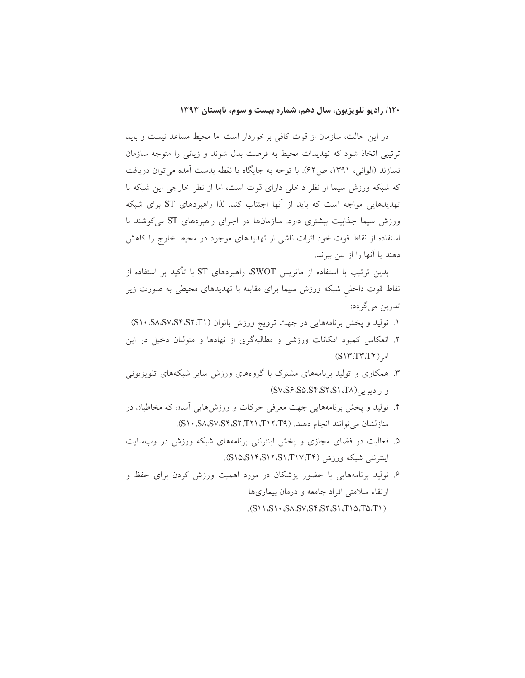در این حالت، سازمان از قوت کافی برخوردار است اما محیط مساعد نیست و باید ترتیبی اتخاذ شود که تهدیدات محیط به فرصت بدل شوند و زیانی را متوجه سازمان نسازند (الواني، ١٣٩١، ص۶۲). با توجه به جايگاه يا نقطه بدست آمده مي توان دريافت که شبکه ورزش سیما از نظر داخلی دارای قوت است، اما از نظر خارجی این شبکه با تهدیدهایی مواجه است که باید از آنها اجتناب کند. لذا راهبردهای ST برای شبکه ورزش سیما جذابیت بیشتری دارد. سازمانها در اجرای راهبردهای ST می کوشند با استفاده از نقاط قوت خود اثرات ناشی از تهدیدهای موجود در محیط خارج را کاهش دهند يا آنها را از بين ببرند.

بدین ترتیب با استفاده از ماتریس SWOT، راهبردهای ST با تأکید بر استفاده از نقاط قوت داخلی شبکه ورزش سیما برای مقابله با تهدیدهای محیطی به صورت زیر تدوين مي گردد:

- ۱. تولید و پخش برنامههایی در جهت ترویج ورزش بانوان (S۱۰،S۸،S۲،S۲،S۲،T۱)
- ۲. انعکاس کمبود امکانات ورزشی و مطالبهگری از نهادها و متولیان دخیل در این  $(S\Upsilon, T\Upsilon, T\Upsilon)$  امر
- ۳. همکاری و تولید برنامههای مشترک با گروههای ورزش سایر شبکههای تلویزیونی و راديويي (SV،S۶،S۵،S۴،S۲،S۱،T۸)
- ۴. تولید و پخش برنامههایی جهت معرفی حرکات و ورزشهایی آسان که مخاطبان در منازلشان مى توانند انجام دهند. (T۱۲،T۱۲،T۱۴، SA،SV،S۴،S۲،T۲۱،T۱۲).
- ۵. فعالیت در فضای مجازی و پخش اینترنتی برنامههای شبکه ورزش در وبسایت اينترنتي شبكه ورزش (TIV،T۴). (S۱۵،S۱۴،S۱۲،S۱،T۱۷،T۴).
- ۶. تولید برنامههایی با حضور پزشکان در مورد اهمیت ورزش کردن برای حفظ و ارتقاء سلامتی افراد جامعه و درمان بیماریها  $(S \cup S \cup S \cup S \cup S \cup S \cup S \cup S \cup S \cup T \cup T \cup T \cup T$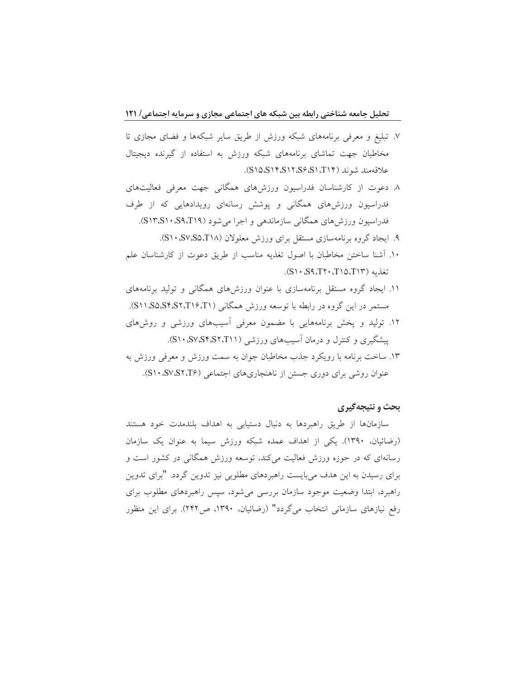- ۷. تبلیغ و معرفی برنامههای شبکه ورزش از طریق سایر شبکهها و فضای مجازی تا مخاطبان جهت تماشای برنامههای شبکه ورزش به استفاده از گیرنده دیجیتال علاقهمند شوند (S۱۵،S۱۴،S۱۲،S۶،S۱،T۱۴).
- ۸. دعوت از کارشناسان فدراسیون ورزشهای همگانی جهت معرفی فعالیتهای فدراسیون ورزشهای همگانی و پوشش رسانهای رویدادهایی که از طرف فدراسیون ورزش های همگانی سازماندهی و اجرا می شود (S۱۳،S۱۰،S۹،T۱۹).
	- ۹. ایجاد گروه برنامهسازی مستقل برای ورزش معلولان (S۱۰،S۷،S۵،T۱۸).
- ۱۰. أشنا ساختن مخاطبان با اصول تغذيه مناسب از طريق دعوت از كارشناسان علم تغذيه (S١٣، S٩، T٢٠، T١٥، T١٣).
- ۱۱. ایجاد گروه مستقل برنامهسازی با عنوان ورزشهای همگانی و تولید برنامههای مستمر در این گروه در رابطه با توسعه ورزش همگانی (S۱۱،S۵،S۴،S۲،T۱۶،T۱).
- ۱۲. تولید و پخش برنامههایی با مضمون معرفی آسیبهای ورزشی و روشهای پیشگیری و کنترل و درمان آسیبهای ورزشی (S۱۰،S۷،S۴،S۲،T۱۱).
- ۱۳. ساخت برنامه با رویکرد جذب مخاطبان جوان به سمت ورزش و معرفی ورزش به عنوان روشی برای دوری جستن از ناهنجاریهای اجتماعی (S۱۰،S۷،S۲،T۶).

## بحث و نتيجه گيري

سازمانها از طريق راهبردها به دنبال دستيابي به اهداف بلندمدت خود هستند (رضائیان، ١٣٩٠). یکی از اهداف عمده شبکه ورزش سیما به عنوان یک سازمان رسانهای که در حوزه ورزش فعالیت میکند، توسعه ورزش همگانی در کشور است و برای رسیدن به این هدف میبایست راهبردهای مطلوبی نیز تدوین گردد. "برای تدوین راهبرد، ابتدا وضعیت موجود سازمان بررسی میشود، سپس راهبردهای مطلوب برای رفع نیازهای سازمانی انتخاب میگردد" (رضائیان، ۱۳۹۰، ص۲۴۲). برای این منظور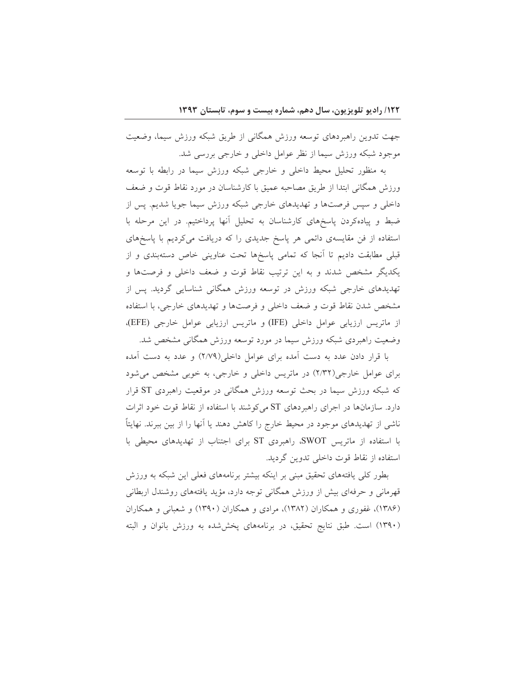جهت تدوين راهبردهاي توسعه ورزش همگاني از طريق شبكه ورزش سيما، وضعيت موجود شبکه ورزش سیما از نظر عوامل داخلی و خارجی بررسی شد.

به منظور تحلیل محیط داخلی و خارجی شبکه ورزش سیما در رابطه با توسعه ورزش همگانی ابتدا از طریق مصاحبه عمیق با کارشناسان در مورد نقاط قوت و ضعف داخلی و سپس فرصتها و تهدیدهای خارجی شبکه ورزش سیما جویا شدیم. پس از ضبط و پیادهکردن پاسخهای کارشناسان به تحلیل آنها پرداختیم. در این مرحله با استفاده از فن مقایسهی دائمی هر پاسخ جدیدی را که دریافت میکردیم با پاسخهای قبلی مطابقت دادیم تا آنجا که تمامی پاسخها تحت عناوینی خاص دستهبندی و از یکدیگر مشخص شدند و به این ترتیب نقاط قوت و ضعف داخلی و فرصتها و تهدیدهای خارجی شبکه ورزش در توسعه ورزش همگانی شناسایی گردید. پس از مشخص شدن نقاط قوت و ضعف داخلی و فرصتها و تهدیدهای خارجی، با استفاده از ماتريس ارزيابي عوامل داخلي (IFE) و ماتريس ارزيابي عوامل خارجي (EFE)، وضعیت راهبردی شبکه ورزش سیما در مورد توسعه ورزش همگانی مشخص شد.

با قرار دادن عدد به دست آمده برای عوامل داخلی(٢/٧٩) و عدد به دست آمده برای عوامل خارجی(٢/٣٢) در ماتریس داخلی و خارجی، به خوبی مشخص می شود که شبکه ورزش سیما در بحث توسعه ورزش همگانی در موقعیت راهبردی ST قرار دارد. سازمانها در اجرای راهبردهای ST می کوشند با استفاده از نقاط قوت خود اثرات ناشی از تهدیدهای موجود در محیط خارج را کاهش دهند یا أنها را از بین ببرند. نهایتاً با استفاده از ماتریس SWOT، راهبردی ST برای اجتناب از تهدیدهای محیطی با استفاده از نقاط قوت داخلی تدوین گردید.

بطور کلی یافتههای تحقیق مبنی بر اینکه بیشتر برنامههای فعلی این شبکه به ورزش قهرمانی و حرفهای بیش از ورزش همگانی توجه دارد، مؤید یافتههای روشندل اربطانی (۱۳۸۶)، غفوری و همکاران (۱۳۸۲)، مرادی و همکاران (۱۳۹۰) و شعبانی و همکاران (۱۳۹۰) است. طبق نتایج تحقیق، در برنامههای پخششده به ورزش بانوان و البته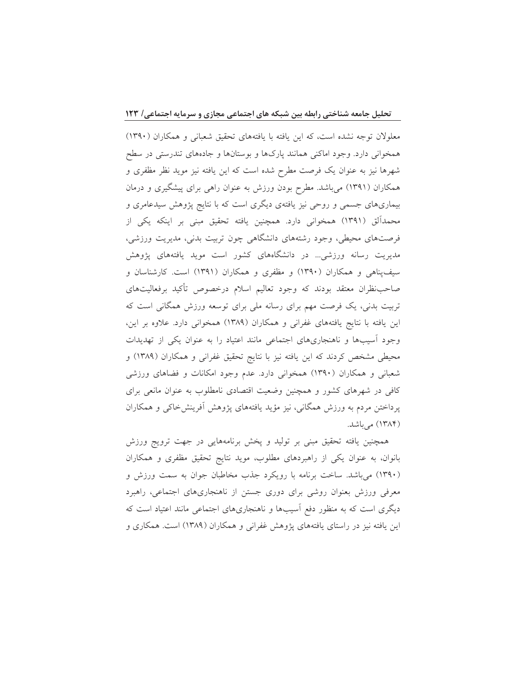معلولان توجه نشده است، كه اين يافته با يافتههاى تحقيق شعباني و همكاران (١٣٩٠) همخوانی دارد. وجود اماکنی همانند پارکها و بوستانها و جادههای تندرستی در سطح شهرها نیز به عنوان یک فرصت مطرح شده است که این یافته نیز موید نظر مظفری و همکاران (۱۳۹۱) میباشد. مطرح بودن ورزش به عنوان راهی برای پیشگیری و درمان بیماریهای جسمی و روحی نیز یافتهی دیگری است که با نتایج پژوهش سیدعامری و محمدالق (۱۳۹۱) همخوانی دارد. همچنین یافته تحقیق مبنی بر اینکه یکی از فرصتهای محیطی، وجود رشتههای دانشگاهی چون تربیت بدنی، مدیریت ورزشی، مدیریت رسانه ورزشی… در دانشگاههای کشور است موید یافتههای پژوهش سیفپناهی و همکاران (۱۳۹۰) و مظفری و همکاران (۱۳۹۱) است. کارشناسان و صاحب نظران معتقد بودند كه وجود تعاليم اسلام درخصوص تأكيد برفعاليتهاى تربیت بدنی، یک فرصت مهم برای رسانه ملی برای توسعه ورزش همگانی است که این یافته با نتایج یافتههای غفرانی و همکاران (۱۳۸۹) همخوانی دارد. علاوه بر این، وجود آسیبها و ناهنجاریهای اجتماعی مانند اعتیاد را به عنوان یکی از تهدیدات محیطی مشخص کردند که این یافته نیز با نتایج تحقیق غفرانی و همکاران (۱۳۸۹) و شعبانی و همکاران (۱۳۹۰) همخوانی دارد. عدم وجود امکانات و فضاهای ورزشی کافی در شهرهای کشور و همچنین وضعیت اقتصادی نامطلوب به عنوان مانعی برای پرداختن مردم به ورزش همگانی، نیز مؤید یافتههای پژوهش أفرینش خاکی و همکاران (۱۳۸۴) میباشد.

همچنین یافته تحقیق مبنی بر تولید و پخش برنامههایی در جهت ترویج ورزش بانوان، به عنوان یکی از راهبردهای مطلوب، موید نتایج تحقیق مظفری و همکاران (۱۳۹۰) می باشد. ساخت برنامه با رویکرد جذب مخاطبان جوان به سمت ورزش و معرفی ورزش بعنوان روشی برای دوری جستن از ناهنجاریهای اجتماعی، راهبرد دیگری است که به منظور دفع أسیبها و ناهنجاریهای اجتماعی مانند اعتیاد است که این یافته نیز در راستای یافتههای پژوهش غفرانی و همکاران (۱۳۸۹) است. همکاری و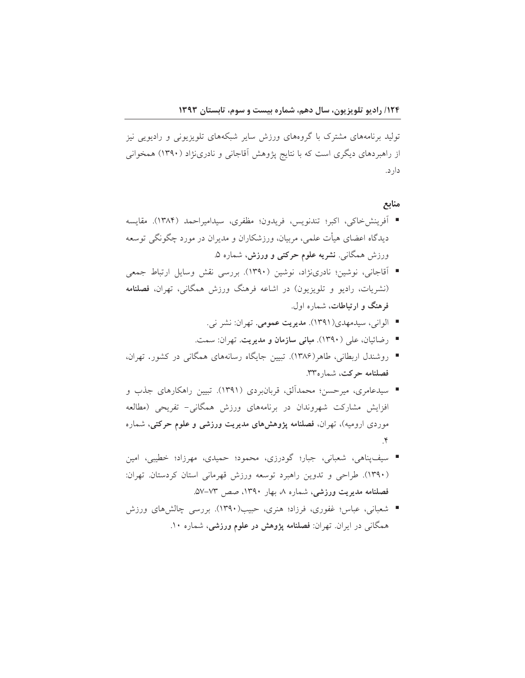تولید برنامههای مشترک با گروههای ورزش سایر شبکههای تلویزیونی و رادیویی نیز از راهبردهای دیگری است که با نتایج پژوهش آقاجانی و نادرینژاد (۱۳۹۰) همخوانی دارد.

منابع

- آفرينشخاكي، اكبر؛ تندنويس، فريدون؛ مظفري، سيداميراحمد (١٣٨۴). مقايسه دیدگاه اعضای هیأت علمی، مربیان، ورزشکاران و مدیران در مورد چگونگی توسعه ورزش همگان<sub>ی</sub>. **نشریه علوم حرکتی و ورزش،** شماره ۵.
- آقاجانی، نوشین؛ نادرینژاد، نوشین (۱۳۹۰). بررسی نقش وسایل ارتباط جمعی (نشریات، رادیو و تلویزیون) در اشاعه فرهنگ ورزش همگانی، تهران، فصلنامه فرهنگ و ارتباطات، شماره اول.
	- الواني، سيدمهدي(١٣٩١). مديريت عمومي. تهران: نشر ني.
	- رضائيان، على (١٣٩٠). م**باني سازمان و مديريت**. تهران: سمت.
- روشندل اربطانی، طاهر(۱۳۸۶). تبیین جایگاه رسانههای همگانی در کشور. تهران، فصلنامه حرکت، شماره۳۳.
- سیدعامری، میرحسن؛ محمدالق، قربانبردی (۱۳۹۱). تبیین راهکارهای جذب و افزایش مشارکت شهروندان در برنامههای ورزش همگانی- تفریحی (مطالعه موردی ارومیه)، تهران، فصلنامه پژوهشهای مدیریت ورزشی و علوم حرکتی، شماره  $\mathbf{r}$
- سيفيناهي، شعباني، جبار؛ گودرزي، محمود؛ حميدي، مهرزاد؛ خطيبي، امين (۱۳۹۰). طراحی و تدوین راهبرد توسعه ورزش قهرمانی استان کردستان. تهران: فصلنامه مدیریت ورزشی، شماره ۸، بهار ۱۳۹۰، صص ۷۳–۵۷۔
- شعبانی، عباس؛ غفوری، فرزاد؛ هنری، حبیب(۱۳۹۰). بررسی چالشهای ورزش همگان<sub>ی</sub> در ایران. تهران: فصلنامه پژوهش در علوم ورزشی، شماره ۱۰.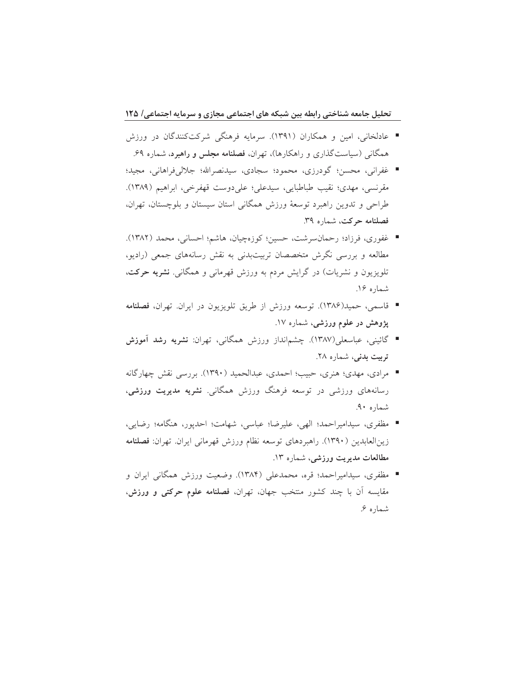- عادلخانی، امین و همکاران (۱۳۹۱). سرمایه فرهنگی شرکتکنندگان در ورزش همگانی (سیاستگذاری و راهکارها)، تهران، **فصلنامه مجلس و راهبرد**، شماره ۶۹.
- غفراني، محسن؛ گودرزي، محمود؛ سجادي، سيدنصرالله؛ جلال<sub>ي</sub>فراهاني، مجيد؛ مقرنسي، مهدي؛ نقيب طباطبايي، سيدعلي؛ على دوست قهفرخي، ابراهيم (١٣٨٩). طراحي و تدوين راهبرد توسعهٔ ورزش همگاني استان سيستان و بلوچستان، تهران، فصلنامه حركت، شماره ٣٩.
- غفوري، فرزاد؛ رحمانسرشت، حسين؛ كوزەچيان، هاشم؛ احساني، محمد (١٣٨٢). مطالعه و بررسی نگرش متخصصان تربیتبدنی به نقش رسانههای جمعی (رادیو، تلویزیون و نشریات) در گرایش مردم به ورزش قهرمانی و همگانی. **نشریه حرکت**، شماره ۱۶.
- قاسمي، حميد(١٣٨۶). توسعه ورزش از طريق تلويزيون در ايران. تهران، فصلنامه پژوهش در علوم ورزشی، شماره ۱۷.
- گائيني، عباسعلي(١٣٨٧). چشم|نداز ورزش همگاني، تهران: **نشريه رشد آموزش** تربیت بدنی، شماره ۲۸.
- مرادي، مهدي؛ هنري، حبيب؛ احمدي، عبدالحميد (١٣٩٠). بررسي نقش چهارگانه رسانههای ورزشی در توسعه فرهنگ ورزش همگانی. نشریه مدیریت ورزشی، شماره ۹۰.
- مظفري، سيداميراحمد؛ الهي، عليرضا؛ عباسي، شهامت؛ احديور، هنگامه؛ رضايي، زينالعابدين (١٣٩٠). راهبردهاي توسعه نظام ورزش قهرماني ايران. تهران: فصلنامه مطالعات مديريت ورزشي، شماره ١٣.
- مظفري، سيداميراحمد؛ قره، محمدعلي (١٣٨۴). وضعيت ورزش همگاني ايران و مقایسه آن با چند کشور منتخب جهان، تهران، فصلنامه علوم حرکتی و ورزش، شماره ۶.